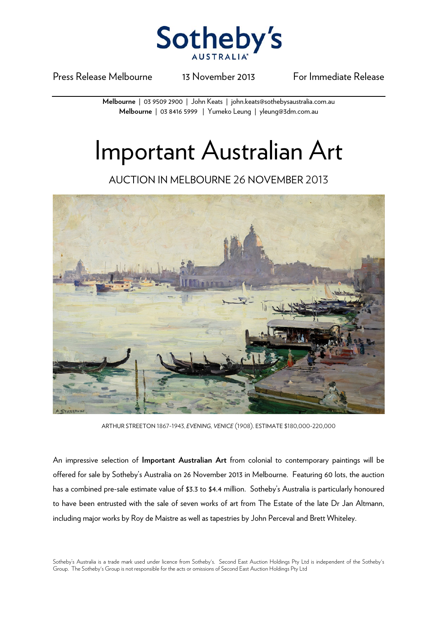

Press Release Melbourne 13 November 2013 For Immediate Release

**Melbourne** | 03 9509 2900 | John Keats | john.keats@sothebysaustralia.com.au **Melbourne** | 03 8416 5999 | Yumeko Leung | yleung@3dm.com.au

## Important Australian Art

AUCTION IN MELBOURNE 26 NOVEMBER 2013



ARTHUR STREETON 1867-1943, *EVENING, VENICE* (1908). ESTIMATE \$180,000-220,000

An impressive selection of **Important Australian Art** from colonial to contemporary paintings will be offered for sale by Sotheby's Australia on 26 November 2013 in Melbourne. Featuring 60 lots, the auction has a combined pre-sale estimate value of \$3.3 to \$4.4 million. Sotheby's Australia is particularly honoured to have been entrusted with the sale of seven works of art from The Estate of the late Dr Jan Altmann, including major works by Roy de Maistre as well as tapestries by John Perceval and Brett Whiteley.

Sotheby's Australia is a trade mark used under licence from Sotheby's. Second East Auction Holdings Pty Ltd is independent of the Sotheby's Group. The Sotheby's Group is not responsible for the acts or omissions of Second East Auction Holdings Pty Ltd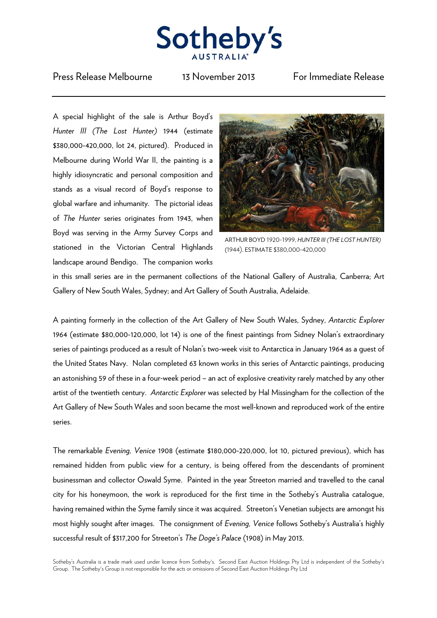

## Press Release Melbourne 13 November 2013 For Immediate Release

A special highlight of the sale is Arthur Boyd's *Hunter III (The Lost Hunter)* 1944 (estimate \$380,000-420,000, lot 24, pictured). Produced in Melbourne during World War II, the painting is a highly idiosyncratic and personal composition and stands as a visual record of Boyd's response to global warfare and inhumanity. The pictorial ideas of *The Hunter* series originates from 1943, when Boyd was serving in the Army Survey Corps and stationed in the Victorian Central Highlands landscape around Bendigo. The companion works



ARTHUR BOYD 1920-1999, *HUNTER III (THE LOST HUNTER)* (1944). ESTIMATE \$380,000-420,000

in this small series are in the permanent collections of the National Gallery of Australia, Canberra; Art Gallery of New South Wales, Sydney; and Art Gallery of South Australia, Adelaide.

A painting formerly in the collection of the Art Gallery of New South Wales, Sydney, *Antarctic Explorer*  1964 (estimate \$80,000-120,000, lot 14) is one of the finest paintings from Sidney Nolan's extraordinary series of paintings produced as a result of Nolan's two-week visit to Antarctica in January 1964 as a guest of the United States Navy. Nolan completed 63 known works in this series of Antarctic paintings, producing an astonishing 59 of these in a four-week period – an act of explosive creativity rarely matched by any other artist of the twentieth century. *Antarctic Explorer* was selected by Hal Missingham for the collection of the Art Gallery of New South Wales and soon became the most well-known and reproduced work of the entire series.

The remarkable *Evening, Venice* 1908 (estimate \$180,000-220,000, lot 10, pictured previous), which has remained hidden from public view for a century, is being offered from the descendants of prominent businessman and collector Oswald Syme. Painted in the year Streeton married and travelled to the canal city for his honeymoon, the work is reproduced for the first time in the Sotheby's Australia catalogue, having remained within the Syme family since it was acquired. Streeton's Venetian subjects are amongst his most highly sought after images. The consignment of *Evening, Venice* follows Sotheby's Australia's highly successful result of \$317,200 for Streeton's *The Doge's Palace* (1908) in May 2013.